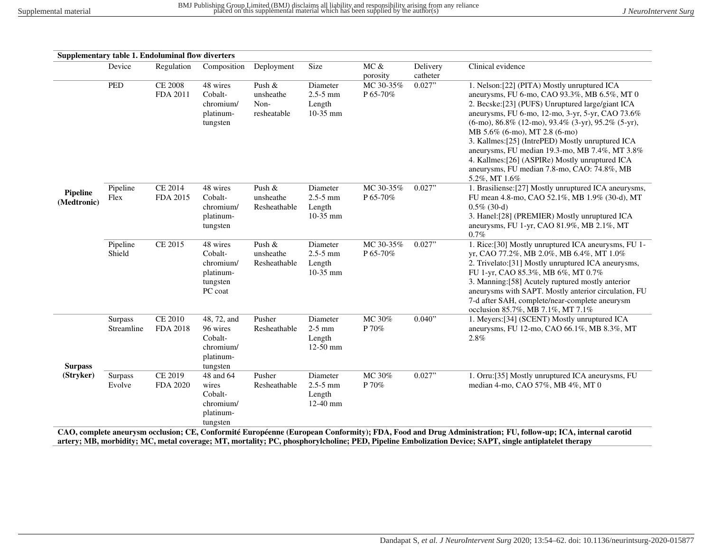|                         |                       | Supplementary table 1. Endoluminal flow diverters |                                                                          |                                            |                                                  |                       |                      |                                                                                                                                                                                                                                                                                                                                                                                                                                                                                                                                  |
|-------------------------|-----------------------|---------------------------------------------------|--------------------------------------------------------------------------|--------------------------------------------|--------------------------------------------------|-----------------------|----------------------|----------------------------------------------------------------------------------------------------------------------------------------------------------------------------------------------------------------------------------------------------------------------------------------------------------------------------------------------------------------------------------------------------------------------------------------------------------------------------------------------------------------------------------|
|                         | Device                | Regulation                                        | Composition                                                              | Deployment                                 | Size                                             | MC &<br>porosity      | Delivery<br>catheter | Clinical evidence                                                                                                                                                                                                                                                                                                                                                                                                                                                                                                                |
|                         | <b>PED</b>            | <b>CE 2008</b><br>FDA 2011                        | 48 wires<br>Cobalt-<br>chromium/<br>platinum-<br>tungsten                | Push &<br>unsheathe<br>Non-<br>resheatable | Diameter<br>$2.5 - 5$ mm<br>Length<br>$10-35$ mm | MC 30-35%<br>P 65-70% | 0.027"               | 1. Nelson: [22] (PITA) Mostly unruptured ICA<br>aneurysms, FU 6-mo, CAO 93.3%, MB 6.5%, MT 0<br>2. Becske: [23] (PUFS) Unruptured large/giant ICA<br>aneurysms, FU 6-mo, 12-mo, 3-yr, 5-yr, CAO 73.6%<br>$(6\text{-mo})$ , 86.8% (12-mo), 93.4% (3-yr), 95.2% (5-yr),<br>MB 5.6% (6-mo), MT 2.8 (6-mo)<br>3. Kallmes: [25] (IntrePED) Mostly unruptured ICA<br>aneurysms, FU median 19.3-mo, MB 7.4%, MT 3.8%<br>4. Kallmes: [26] (ASPIRe) Mostly unruptured ICA<br>aneurysms, FU median 7.8-mo, CAO: 74.8%, MB<br>5.2%, MT 1.6% |
| Pipeline<br>(Medtronic) | Pipeline<br>Flex      | <b>CE 2014</b><br>FDA 2015                        | 48 wires<br>Cobalt-<br>chromium/<br>platinum-<br>tungsten                | Push &<br>unsheathe<br>Resheathable        | Diameter<br>$2.5 - 5$ mm<br>Length<br>$10-35$ mm | MC 30-35%<br>P 65-70% | 0.027"               | 1. Brasiliense: [27] Mostly unruptured ICA aneurysms,<br>FU mean 4.8-mo, CAO 52.1%, MB 1.9% (30-d), MT<br>$0.5\%$ (30-d)<br>3. Hanel:[28] (PREMIER) Mostly unruptured ICA<br>aneurysms, FU 1-yr, CAO 81.9%, MB 2.1%, MT<br>$0.7\%$                                                                                                                                                                                                                                                                                               |
|                         | Pipeline<br>Shield    | CE 2015                                           | 48 wires<br>Cobalt-<br>chromium/<br>platinum-<br>tungsten<br>PC coat     | Push &<br>unsheathe<br>Resheathable        | Diameter<br>$2.5 - 5$ mm<br>Length<br>10-35 mm   | MC 30-35%<br>P 65-70% | 0.027"               | 1. Rice: [30] Mostly unruptured ICA aneurysms, FU 1-<br>yr, CAO 77.2%, MB 2.0%, MB 6.4%, MT 1.0%<br>2. Trivelato:[31] Mostly unruptured ICA aneurysms,<br>FU 1-yr, CAO 85.3%, MB 6%, MT 0.7%<br>3. Manning:[58] Acutely ruptured mostly anterior<br>aneurysms with SAPT. Mostly anterior circulation, FU<br>7-d after SAH, complete/near-complete aneurysm<br>occlusion 85.7%, MB 7.1%, MT 7.1%                                                                                                                                  |
| <b>Surpass</b>          | Surpass<br>Streamline | <b>CE 2010</b><br><b>FDA 2018</b>                 | 48, 72, and<br>96 wires<br>Cobalt-<br>chromium/<br>platinum-<br>tungsten | Pusher<br>Resheathable                     | Diameter<br>$2-5$ mm<br>Length<br>12-50 mm       | MC $30\%$<br>P $70\%$ | 0.040"               | 1. Meyers: [34] (SCENT) Mostly unruptured ICA<br>aneurysms, FU 12-mo, CAO 66.1%, MB 8.3%, MT<br>$2.8\%$                                                                                                                                                                                                                                                                                                                                                                                                                          |
| (Stryker)               | Surpass<br>Evolve     | CE 2019<br>FDA 2020                               | 48 and 64<br>wires<br>Cobalt-<br>chromium/<br>platinum-<br>tungsten      | Pusher<br>Resheathable                     | Diameter<br>$2.5 - 5$ mm<br>Length<br>12-40 mm   | MC 30%<br>P 70%       | 0.027"               | 1. Orru: [35] Mostly unruptured ICA aneurysms, FU<br>median 4-mo, CAO 57%, MB 4%, MT 0<br>CAO, complete aneurysm occlusion; CE, Conformité Européenne (European Conformity); FDA, Food and Drug Administration; FU, follow-up; ICA, internal carotid                                                                                                                                                                                                                                                                             |

**artery; MB, morbidity; MC, metal coverage; MT, mortality; PC, phosphorylcholine; PED, Pipeline Embolization Device; SAPT, single antiplatelet therapy**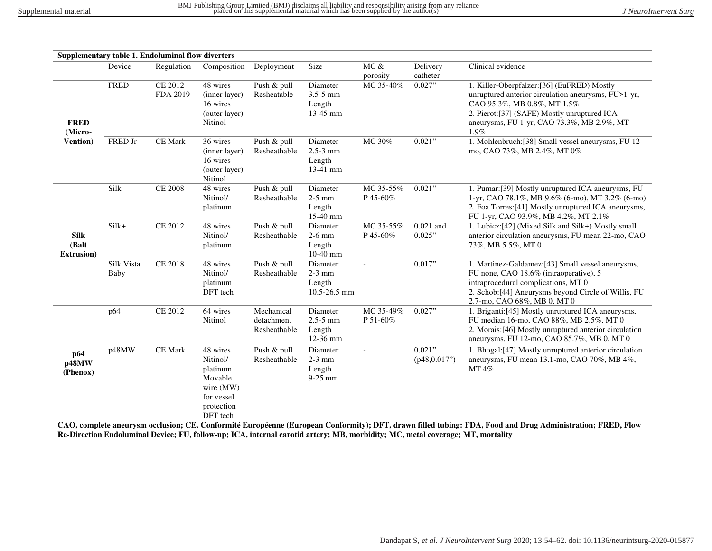|                                            |                    | Supplementary table 1. Endoluminal flow diverters |                                                                                                  |                                          |                                                  |                       |                        |                                                                                                                                                                                                                                            |
|--------------------------------------------|--------------------|---------------------------------------------------|--------------------------------------------------------------------------------------------------|------------------------------------------|--------------------------------------------------|-----------------------|------------------------|--------------------------------------------------------------------------------------------------------------------------------------------------------------------------------------------------------------------------------------------|
|                                            | Device             | Regulation                                        | Composition                                                                                      | Deployment                               | Size                                             | MC &<br>porosity      | Delivery<br>catheter   | Clinical evidence                                                                                                                                                                                                                          |
| <b>FRED</b><br>(Micro-                     | <b>FRED</b>        | <b>CE 2012</b><br>FDA 2019                        | 48 wires<br>(inner layer)<br>16 wires<br>(outer layer)<br>Nitinol                                | Push & pull<br>Resheatable               | Diameter<br>$3.5 - 5$ mm<br>Length<br>$13-45$ mm | MC 35-40%             | 0.027"                 | 1. Killer-Oberpfalzer: [36] (EuFRED) Mostly<br>unruptured anterior circulation aneurysms, FU>1-yr,<br>CAO 95.3%, MB 0.8%, MT 1.5%<br>2. Pierot: [37] (SAFE) Mostly unruptured ICA<br>aneurysms, FU 1-yr, CAO 73.3%, MB 2.9%, MT<br>$1.9\%$ |
| Vention)                                   | FRED Jr            | <b>CE</b> Mark                                    | 36 wires<br>(inner layer)<br>16 wires<br>(outer layer)<br>Nitinol                                | Push & pull<br>Resheathable              | Diameter<br>$2.5 - 3$ mm<br>Length<br>$13-41$ mm | MC 30%                | 0.021"                 | 1. Mohlenbruch: [38] Small vessel aneurysms, FU 12-<br>mo, CAO 73%, MB 2.4%, MT 0%                                                                                                                                                         |
| <b>Silk</b><br>(Balt<br><b>Extrusion</b> ) | Silk               | <b>CE 2008</b>                                    | 48 wires<br>Nitinol/<br>platinum                                                                 | Push & pull<br>Resheathable              | Diameter<br>$2-5$ mm<br>Length<br>$15-40$ mm     | MC 35-55%<br>P 45-60% | 0.021"                 | 1. Pumar: [39] Mostly unruptured ICA aneurysms, FU<br>1-yr, CAO 78.1%, MB 9.6% (6-mo), MT 3.2% (6-mo)<br>2. Foa Torres: [41] Mostly unruptured ICA aneurysms,<br>FU 1-yr, CAO 93.9%, MB 4.2%, MT 2.1%                                      |
|                                            | Silk+              | <b>CE 2012</b>                                    | 48 wires<br>Nitinol/<br>platinum                                                                 | Push & pull<br>Resheathable              | Diameter<br>$2-6$ mm<br>Length<br>$10-40$ mm     | MC 35-55%<br>P 45-60% | $0.021$ and<br>0.025"  | 1. Lubicz: [42] (Mixed Silk and Silk+) Mostly small<br>anterior circulation aneurysms, FU mean 22-mo, CAO<br>73%, MB 5.5%, MT 0                                                                                                            |
|                                            | Silk Vista<br>Baby | CE 2018                                           | 48 wires<br>Nitinol/<br>platinum<br>DFT tech                                                     | Push & pull<br>Resheathable              | Diameter<br>$2-3$ mm<br>Length<br>10.5-26.5 mm   | $\blacksquare$        | 0.017"                 | 1. Martinez-Galdamez: [43] Small vessel aneurysms,<br>FU none, CAO 18.6% (intraoperative), 5<br>intraprocedural complications, MT 0<br>2. Schob:[44] Aneurysms beyond Circle of Willis, FU<br>2.7-mo, CAO 68%, MB 0, MT 0                  |
|                                            | p64                | CE 2012                                           | 64 wires<br>Nitinol                                                                              | Mechanical<br>detachment<br>Resheathable | Diameter<br>$2.5 - 5$ mm<br>Length<br>12-36 mm   | MC 35-49%<br>P 51-60% | 0.027"                 | 1. Briganti: [45] Mostly unruptured ICA aneurysms,<br>FU median 16-mo, CAO 88%, MB 2.5%, MT 0<br>2. Morais:[46] Mostly unruptured anterior circulation<br>aneurysms, FU 12-mo, CAO 85.7%, MB 0, MT 0                                       |
| p64<br>p48MW<br>(Phenox)                   | p48MW              | <b>CE</b> Mark                                    | 48 wires<br>Nitinol/<br>platinum<br>Movable<br>wire (MW)<br>for vessel<br>protection<br>DFT tech | Push & pull<br>Resheathable              | Diameter<br>$2-3$ mm<br>Length<br>$9-25$ mm      |                       | 0.021"<br>(p48,0.017") | 1. Bhogal: [47] Mostly unruptured anterior circulation<br>aneurysms, FU mean 13.1-mo, CAO 70%, MB 4%,<br>MT 4%                                                                                                                             |